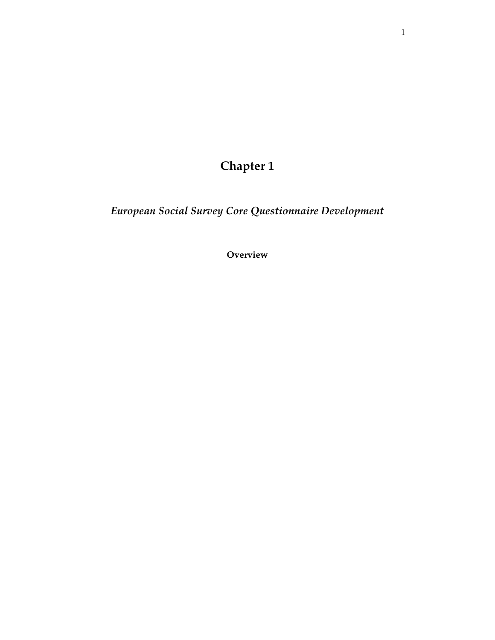**Chapter 1** 

*European Social Survey Core Questionnaire Development* 

**Overview**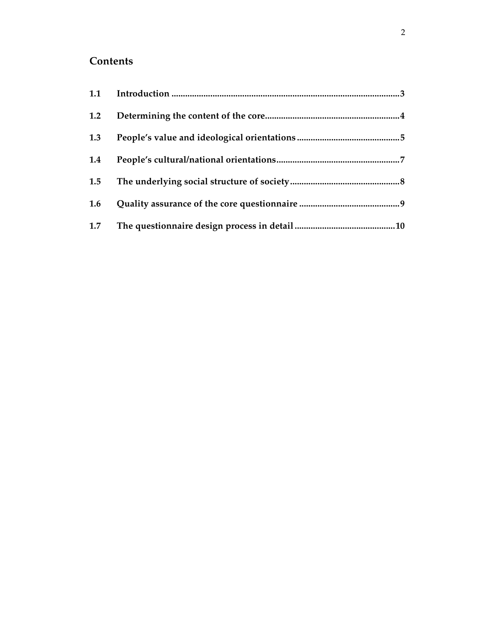# **Contents**

| 1.2 |  |
|-----|--|
| 1.3 |  |
| 1.4 |  |
| 1.5 |  |
| 1.6 |  |
| 1.7 |  |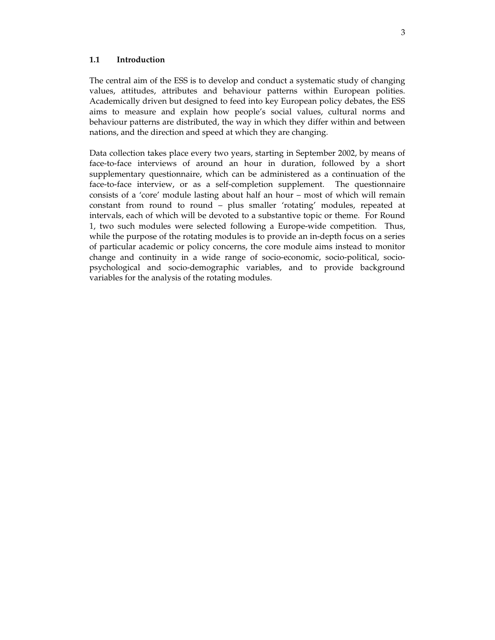#### **1.1 Introduction**

The central aim of the ESS is to develop and conduct a systematic study of changing values, attitudes, attributes and behaviour patterns within European polities. Academically driven but designed to feed into key European policy debates, the ESS aims to measure and explain how people's social values, cultural norms and behaviour patterns are distributed, the way in which they differ within and between nations, and the direction and speed at which they are changing.

Data collection takes place every two years, starting in September 2002, by means of face-to-face interviews of around an hour in duration, followed by a short supplementary questionnaire, which can be administered as a continuation of the face-to-face interview, or as a self-completion supplement. The questionnaire consists of a 'core' module lasting about half an hour – most of which will remain constant from round to round – plus smaller 'rotating' modules, repeated at intervals, each of which will be devoted to a substantive topic or theme. For Round 1, two such modules were selected following a Europe-wide competition. Thus, while the purpose of the rotating modules is to provide an in-depth focus on a series of particular academic or policy concerns, the core module aims instead to monitor change and continuity in a wide range of socio-economic, socio-political, sociopsychological and socio-demographic variables, and to provide background variables for the analysis of the rotating modules.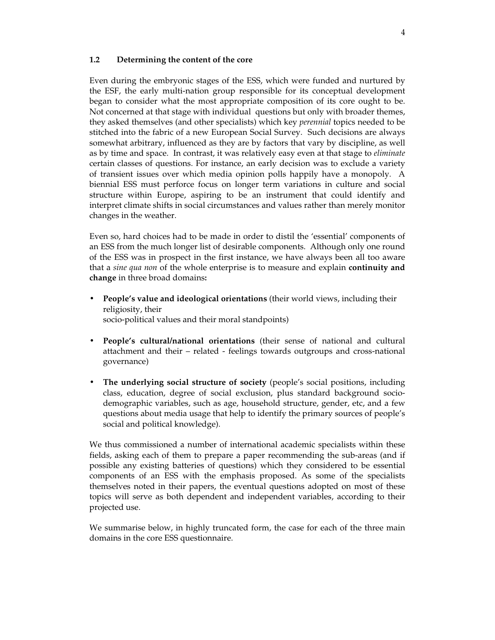#### **1.2 Determining the content of the core**

Even during the embryonic stages of the ESS, which were funded and nurtured by the ESF, the early multi-nation group responsible for its conceptual development began to consider what the most appropriate composition of its core ought to be. Not concerned at that stage with individual questions but only with broader themes, they asked themselves (and other specialists) which key *perennial* topics needed to be stitched into the fabric of a new European Social Survey. Such decisions are always somewhat arbitrary, influenced as they are by factors that vary by discipline, as well as by time and space. In contrast, it was relatively easy even at that stage to *eliminate* certain classes of questions. For instance, an early decision was to exclude a variety of transient issues over which media opinion polls happily have a monopoly. A biennial ESS must perforce focus on longer term variations in culture and social structure within Europe, aspiring to be an instrument that could identify and interpret climate shifts in social circumstances and values rather than merely monitor changes in the weather.

Even so, hard choices had to be made in order to distil the 'essential' components of an ESS from the much longer list of desirable components. Although only one round of the ESS was in prospect in the first instance, we have always been all too aware that a *sine qua non* of the whole enterprise is to measure and explain **continuity and change** in three broad domains**:** 

- **People's value and ideological orientations** (their world views, including their religiosity, their socio-political values and their moral standpoints)
- **People's cultural/national orientations** (their sense of national and cultural attachment and their – related - feelings towards outgroups and cross-national governance)
- **The underlying social structure of society** (people's social positions, including class, education, degree of social exclusion, plus standard background sociodemographic variables, such as age, household structure, gender, etc, and a few questions about media usage that help to identify the primary sources of people's social and political knowledge).

We thus commissioned a number of international academic specialists within these fields, asking each of them to prepare a paper recommending the sub-areas (and if possible any existing batteries of questions) which they considered to be essential components of an ESS with the emphasis proposed. As some of the specialists themselves noted in their papers, the eventual questions adopted on most of these topics will serve as both dependent and independent variables, according to their projected use.

We summarise below, in highly truncated form, the case for each of the three main domains in the core ESS questionnaire.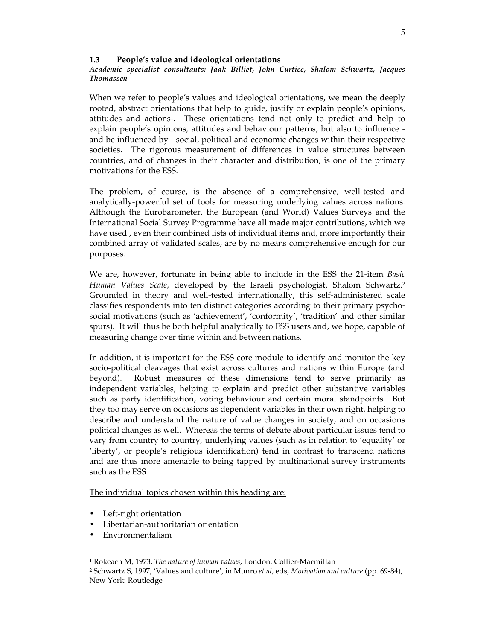## **1.3 People's value and ideological orientations**

## *Academic specialist consultants: Jaak Billiet, John Curtice, Shalom Schwartz, Jacques Thomassen*

When we refer to people's values and ideological orientations, we mean the deeply rooted, abstract orientations that help to guide, justify or explain people's opinions, attitudes and actions1. These orientations tend not only to predict and help to explain people's opinions, attitudes and behaviour patterns, but also to influence and be influenced by - social, political and economic changes within their respective societies. The rigorous measurement of differences in value structures between countries, and of changes in their character and distribution, is one of the primary motivations for the ESS.

The problem, of course, is the absence of a comprehensive, well-tested and analytically-powerful set of tools for measuring underlying values across nations. Although the Eurobarometer, the European (and World) Values Surveys and the International Social Survey Programme have all made major contributions, which we have used , even their combined lists of individual items and, more importantly their combined array of validated scales, are by no means comprehensive enough for our purposes.

We are, however, fortunate in being able to include in the ESS the 21-item *Basic Human Values Scale*, developed by the Israeli psychologist, Shalom Schwartz. 2 Grounded in theory and well-tested internationally, this self-administered scale classifies respondents into ten distinct categories according to their primary psychosocial motivations (such as 'achievement', 'conformity', 'tradition' and other similar spurs). It will thus be both helpful analytically to ESS users and, we hope, capable of measuring change over time within and between nations.

In addition, it is important for the ESS core module to identify and monitor the key socio-political cleavages that exist across cultures and nations within Europe (and beyond). Robust measures of these dimensions tend to serve primarily as independent variables, helping to explain and predict other substantive variables such as party identification, voting behaviour and certain moral standpoints. But they too may serve on occasions as dependent variables in their own right, helping to describe and understand the nature of value changes in society, and on occasions political changes as well. Whereas the terms of debate about particular issues tend to vary from country to country, underlying values (such as in relation to 'equality' or 'liberty', or people's religious identification) tend in contrast to transcend nations and are thus more amenable to being tapped by multinational survey instruments such as the ESS.

The individual topics chosen within this heading are:

- Left-right orientation
- Libertarian-authoritarian orientation
- Environmentalism

 $\overline{a}$ 

<sup>1</sup> Rokeach M, 1973, *The nature of human values*, London: Collier-Macmillan

<sup>2</sup> Schwartz S, 1997, 'Values and culture', in Munro *et al,* eds, *Motivation and culture* (pp. 69-84), New York: Routledge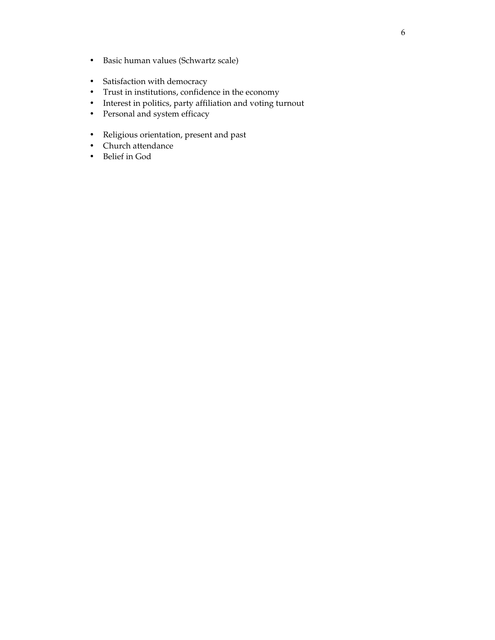- Basic human values (Schwartz scale)
- Satisfaction with democracy
- Trust in institutions, confidence in the economy
- Interest in politics, party affiliation and voting turnout
- Personal and system efficacy
- Religious orientation, present and past
- Church attendance
- Belief in God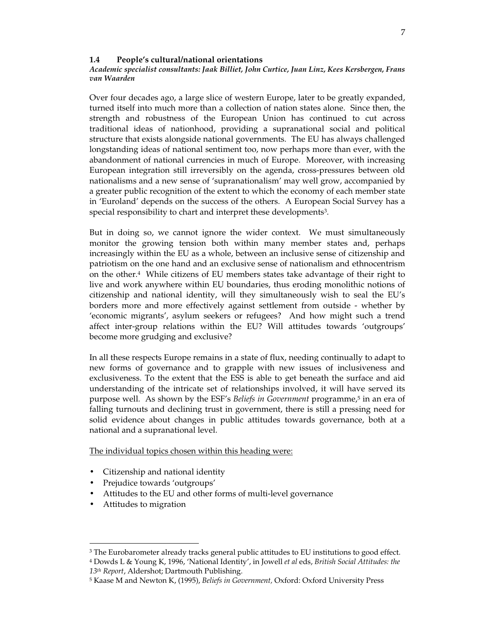#### **1.4 People's cultural/national orientations**

#### *Academic specialist consultants: Jaak Billiet, John Curtice, Juan Linz, Kees Kersbergen, Frans van Waarden*

Over four decades ago, a large slice of western Europe, later to be greatly expanded, turned itself into much more than a collection of nation states alone. Since then, the strength and robustness of the European Union has continued to cut across traditional ideas of nationhood, providing a supranational social and political structure that exists alongside national governments. The EU has always challenged longstanding ideas of national sentiment too, now perhaps more than ever, with the abandonment of national currencies in much of Europe. Moreover, with increasing European integration still irreversibly on the agenda, cross-pressures between old nationalisms and a new sense of 'supranationalism' may well grow, accompanied by a greater public recognition of the extent to which the economy of each member state in 'Euroland' depends on the success of the others. A European Social Survey has a special responsibility to chart and interpret these developments<sup>3</sup>.

But in doing so, we cannot ignore the wider context. We must simultaneously monitor the growing tension both within many member states and, perhaps increasingly within the EU as a whole, between an inclusive sense of citizenship and patriotism on the one hand and an exclusive sense of nationalism and ethnocentrism on the other.4 While citizens of EU members states take advantage of their right to live and work anywhere within EU boundaries, thus eroding monolithic notions of citizenship and national identity, will they simultaneously wish to seal the EU's borders more and more effectively against settlement from outside - whether by 'economic migrants', asylum seekers or refugees? And how might such a trend affect inter-group relations within the EU? Will attitudes towards 'outgroups' become more grudging and exclusive?

In all these respects Europe remains in a state of flux, needing continually to adapt to new forms of governance and to grapple with new issues of inclusiveness and exclusiveness. To the extent that the ESS is able to get beneath the surface and aid understanding of the intricate set of relationships involved, it will have served its purpose well. As shown by the ESF's *Beliefs in Government* programme,5 in an era of falling turnouts and declining trust in government, there is still a pressing need for solid evidence about changes in public attitudes towards governance, both at a national and a supranational level.

The individual topics chosen within this heading were:

- Citizenship and national identity
- Prejudice towards 'outgroups'
- Attitudes to the EU and other forms of multi-level governance
- Attitudes to migration

 $\overline{a}$ 

4 Dowds L & Young K, 1996, 'National Identity', in Jowell *et al* eds, *British Social Attitudes: the 13th Report*, Aldershot; Dartmouth Publishing.

<sup>3</sup> The Eurobarometer already tracks general public attitudes to EU institutions to good effect.

<sup>5</sup> Kaase M and Newton K, (1995), *Beliefs in Government,* Oxford: Oxford University Press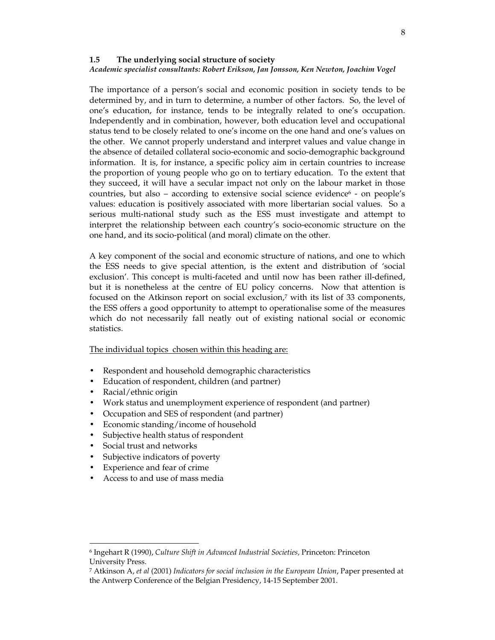#### **1.5 The underlying social structure of society**  *Academic specialist consultants: Robert Erikson, Jan Jonsson, Ken Newton, Joachim Vogel*

The importance of a person's social and economic position in society tends to be determined by, and in turn to determine, a number of other factors. So, the level of one's education, for instance, tends to be integrally related to one's occupation. Independently and in combination, however, both education level and occupational status tend to be closely related to one's income on the one hand and one's values on the other. We cannot properly understand and interpret values and value change in the absence of detailed collateral socio-economic and socio-demographic background information. It is, for instance, a specific policy aim in certain countries to increase the proportion of young people who go on to tertiary education. To the extent that they succeed, it will have a secular impact not only on the labour market in those countries, but also – according to extensive social science evidence $6$  - on people's values: education is positively associated with more libertarian social values. So a serious multi-national study such as the ESS must investigate and attempt to interpret the relationship between each country's socio-economic structure on the one hand, and its socio-political (and moral) climate on the other.

A key component of the social and economic structure of nations, and one to which the ESS needs to give special attention, is the extent and distribution of 'social exclusion'. This concept is multi-faceted and until now has been rather ill-defined, but it is nonetheless at the centre of EU policy concerns. Now that attention is focused on the Atkinson report on social exclusion,7 with its list of 33 components, the ESS offers a good opportunity to attempt to operationalise some of the measures which do not necessarily fall neatly out of existing national social or economic statistics.

## The individual topics chosen within this heading are:

- Respondent and household demographic characteristics
- Education of respondent, children (and partner)
- Racial/ethnic origin
- Work status and unemployment experience of respondent (and partner)
- Occupation and SES of respondent (and partner)
- Economic standing/income of household
- Subjective health status of respondent
- Social trust and networks

 $\overline{a}$ 

- Subjective indicators of poverty
- Experience and fear of crime
- Access to and use of mass media

<sup>6</sup> Ingehart R (1990), *Culture Shift in Advanced Industrial Societies,* Princeton: Princeton University Press.

<sup>7</sup> Atkinson A, *et al* (2001) *Indicators for social inclusion in the European Union*, Paper presented at the Antwerp Conference of the Belgian Presidency, 14-15 September 2001.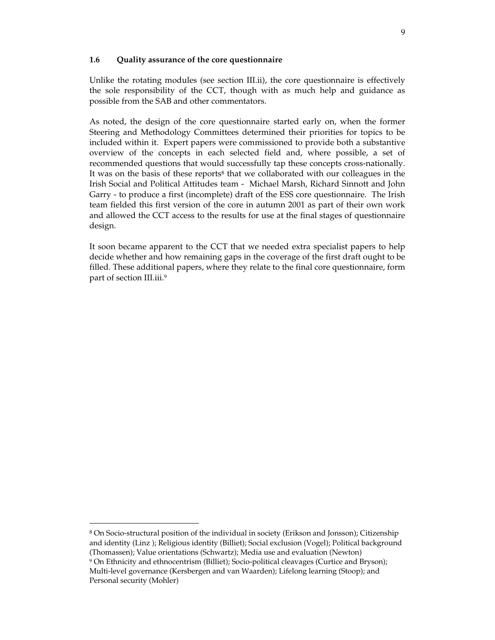## **1.6 Quality assurance of the core questionnaire**

Unlike the rotating modules (see section III.ii), the core questionnaire is effectively the sole responsibility of the CCT, though with as much help and guidance as possible from the SAB and other commentators.

As noted, the design of the core questionnaire started early on, when the former Steering and Methodology Committees determined their priorities for topics to be included within it. Expert papers were commissioned to provide both a substantive overview of the concepts in each selected field and, where possible, a set of recommended questions that would successfully tap these concepts cross-nationally. It was on the basis of these reports<sup>8</sup> that we collaborated with our colleagues in the Irish Social and Political Attitudes team - Michael Marsh, Richard Sinnott and John Garry - to produce a first (incomplete) draft of the ESS core questionnaire. The Irish team fielded this first version of the core in autumn 2001 as part of their own work and allowed the CCT access to the results for use at the final stages of questionnaire design.

It soon became apparent to the CCT that we needed extra specialist papers to help decide whether and how remaining gaps in the coverage of the first draft ought to be filled. These additional papers, where they relate to the final core questionnaire, form part of section III.iii.<sup>9</sup>

 $\overline{a}$ 

<sup>8</sup> On Socio-structural position of the individual in society (Erikson and Jonsson); Citizenship and identity (Linz ); Religious identity (Billiet); Social exclusion (Vogel); Political background (Thomassen); Value orientations (Schwartz); Media use and evaluation (Newton)

<sup>9</sup> On Ethnicity and ethnocentrism (Billiet); Socio-political cleavages (Curtice and Bryson); Multi-level governance (Kersbergen and van Waarden); Lifelong learning (Stoop); and Personal security (Mohler)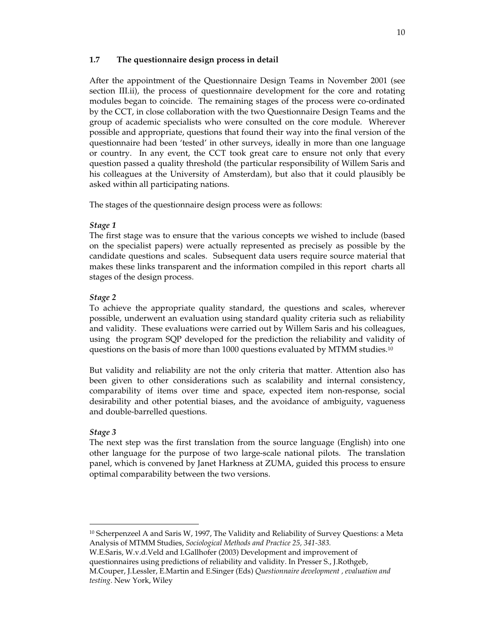# **1.7 The questionnaire design process in detail**

After the appointment of the Questionnaire Design Teams in November 2001 (see section III.ii), the process of questionnaire development for the core and rotating modules began to coincide. The remaining stages of the process were co-ordinated by the CCT, in close collaboration with the two Questionnaire Design Teams and the group of academic specialists who were consulted on the core module. Wherever possible and appropriate, questions that found their way into the final version of the questionnaire had been 'tested' in other surveys, ideally in more than one language or country. In any event, the CCT took great care to ensure not only that every question passed a quality threshold (the particular responsibility of Willem Saris and his colleagues at the University of Amsterdam), but also that it could plausibly be asked within all participating nations.

The stages of the questionnaire design process were as follows:

# *Stage 1*

The first stage was to ensure that the various concepts we wished to include (based on the specialist papers) were actually represented as precisely as possible by the candidate questions and scales. Subsequent data users require source material that makes these links transparent and the information compiled in this report charts all stages of the design process.

# *Stage 2*

To achieve the appropriate quality standard, the questions and scales, wherever possible, underwent an evaluation using standard quality criteria such as reliability and validity. These evaluations were carried out by Willem Saris and his colleagues, using the program SQP developed for the prediction the reliability and validity of questions on the basis of more than 1000 questions evaluated by MTMM studies.<sup>10</sup>

But validity and reliability are not the only criteria that matter. Attention also has been given to other considerations such as scalability and internal consistency, comparability of items over time and space, expected item non-response, social desirability and other potential biases, and the avoidance of ambiguity, vagueness and double-barrelled questions.

# *Stage 3*

 $\overline{a}$ 

The next step was the first translation from the source language (English) into one other language for the purpose of two large-scale national pilots. The translation panel, which is convened by Janet Harkness at ZUMA, guided this process to ensure optimal comparability between the two versions.

 $10$  Scherpenzeel A and Saris W, 1997, The Validity and Reliability of Survey Questions: a Meta Analysis of MTMM Studies, *Sociological Methods and Practice 25, 341-383.* 

W.E.Saris, W.v.d.Veld and I.Gallhofer (2003) Development and improvement of questionnaires using predictions of reliability and validity. In Presser S., J.Rothgeb, M.Couper, J.Lessler, E.Martin and E.Singer (Eds) *Questionnaire development , evaluation and testing*. New York, Wiley